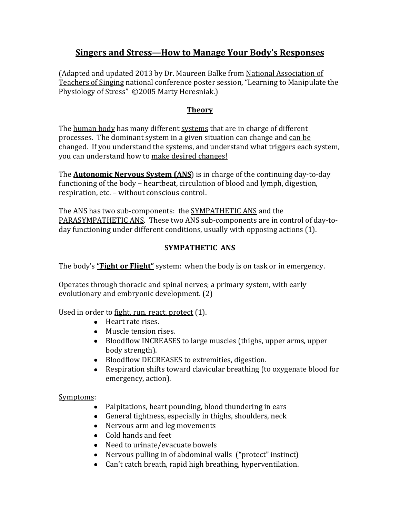# **Singers and Stress—How to Manage Your Body's Responses**

(Adapted and updated 2013 by Dr. Maureen Balke from National Association of Teachers of Singing national conference poster session, "Learning to Manipulate the Physiology of Stress" ©2005 Marty Heresniak.)

### **Theory**

The human body has many different systems that are in charge of different processes. The dominant system in a given situation can change and can be changed. If you understand the systems, and understand what triggers each system, you can understand how to make desired changes!

The **Autonomic Nervous System (ANS**) is in charge of the continuing day-to-day functioning of the body – heartbeat, circulation of blood and lymph, digestion, respiration, etc. – without conscious control.

The ANS has two sub-components: the **SYMPATHETIC ANS** and the PARASYMPATHETIC ANS. These two ANS sub-components are in control of day-today functioning under different conditions, usually with opposing actions (1).

## **SYMPATHETIC ANS**

The body's **"Fight or Flight"** system: when the body is on task or in emergency.

Operates through thoracic and spinal nerves; a primary system, with early evolutionary and embryonic development. (2)

Used in order to fight, run, react, protect (1).

- Heart rate rises.
- Muscle tension rises.
- Bloodflow INCREASES to large muscles (thighs, upper arms, upper body strength).
- Bloodflow DECREASES to extremities, digestion.
- $\bullet$ Respiration shifts toward clavicular breathing (to oxygenate blood for emergency, action).

### Symptoms:

- Palpitations, heart pounding, blood thundering in ears
- General tightness, especially in thighs, shoulders, neck
- Nervous arm and leg movements
- Cold hands and feet
- Need to urinate/evacuate bowels
- Nervous pulling in of abdominal walls ("protect" instinct)
- Can't catch breath, rapid high breathing, hyperventilation.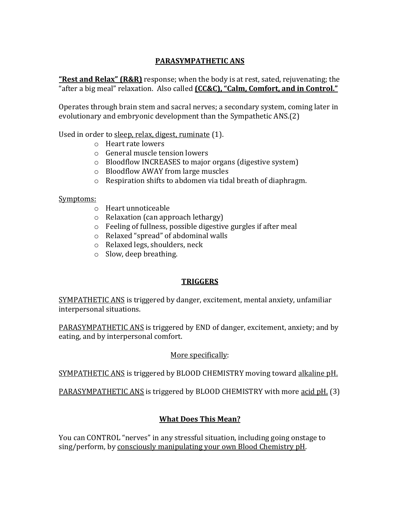## **PARASYMPATHETIC ANS**

**"Rest and Relax" (R&R)** response; when the body is at rest, sated, rejuvenating; the "after a big meal" relaxation. Also called **(CC&C), "Calm, Comfort, and in Control."**

Operates through brain stem and sacral nerves; a secondary system, coming later in evolutionary and embryonic development than the Sympathetic ANS.(2)

Used in order to sleep, relax, digest, ruminate (1).

- o Heart rate lowers
- o General muscle tension lowers
- o Bloodflow INCREASES to major organs (digestive system)
- o Bloodflow AWAY from large muscles
- o Respiration shifts to abdomen via tidal breath of diaphragm.

#### Symptoms:

- o Heart unnoticeable
- o Relaxation (can approach lethargy)
- o Feeling of fullness, possible digestive gurgles if after meal
- o Relaxed "spread" of abdominal walls
- o Relaxed legs, shoulders, neck
- o Slow, deep breathing.

## **TRIGGERS**

SYMPATHETIC ANS is triggered by danger, excitement, mental anxiety, unfamiliar interpersonal situations.

PARASYMPATHETIC ANS is triggered by END of danger, excitement, anxiety; and by eating, and by interpersonal comfort.

## More specifically:

SYMPATHETIC ANS is triggered by BLOOD CHEMISTRY moving toward alkaline pH.

PARASYMPATHETIC ANS is triggered by BLOOD CHEMISTRY with more acid pH. (3)

## **What Does This Mean?**

You can CONTROL "nerves" in any stressful situation, including going onstage to sing/perform, by consciously manipulating your own Blood Chemistry pH.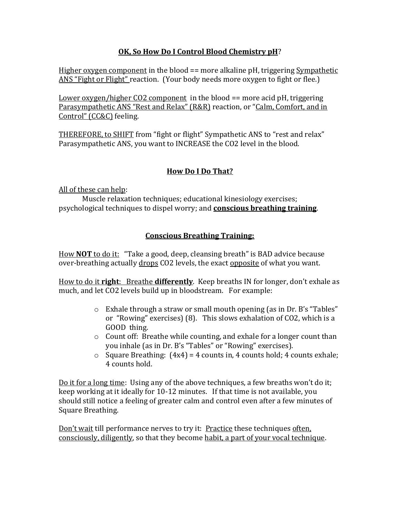## **OK, So How Do I Control Blood Chemistry pH**?

Higher oxygen component in the blood == more alkaline pH, triggering Sympathetic ANS "Fight or Flight" reaction. (Your body needs more oxygen to fight or flee.)

Lower oxygen/higher CO2 component in the blood == more acid pH, triggering Parasympathetic ANS "Rest and Relax" (R&R) reaction, or "Calm, Comfort, and in Control" (CC&C) feeling.

THEREFORE, to SHIFT from "fight or flight" Sympathetic ANS to "rest and relax" Parasympathetic ANS, you want to INCREASE the CO2 level in the blood.

## **How Do I Do That?**

All of these can help:

Muscle relaxation techniques; educational kinesiology exercises; psychological techniques to dispel worry; and **conscious breathing training**.

## **Conscious Breathing Training:**

How **NOT** to do it: "Take a good, deep, cleansing breath" is BAD advice because over-breathing actually drops CO2 levels, the exact opposite of what you want.

How to do it **right**: Breathe **differently**. Keep breaths IN for longer, don't exhale as much, and let CO2 levels build up in bloodstream. For example:

- o Exhale through a straw or small mouth opening (as in Dr. B's "Tables" or "Rowing" exercises) (8). This slows exhalation of CO2, which is a GOOD thing.
- o Count off: Breathe while counting, and exhale for a longer count than you inhale (as in Dr. B's "Tables" or "Rowing" exercises).
- $\circ$  Square Breathing: (4x4) = 4 counts in, 4 counts hold; 4 counts exhale; 4 counts hold.

Do it for a long time: Using any of the above techniques, a few breaths won't do it; keep working at it ideally for 10-12 minutes. If that time is not available, you should still notice a feeling of greater calm and control even after a few minutes of Square Breathing.

Don't wait till performance nerves to try it: Practice these techniques often, consciously, diligently, so that they become habit, a part of your vocal technique.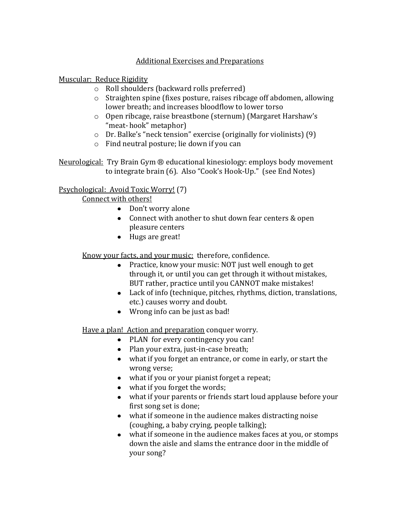### Additional Exercises and Preparations

Muscular: Reduce Rigidity

- o Roll shoulders (backward rolls preferred)
- o Straighten spine (fixes posture, raises ribcage off abdomen, allowing lower breath; and increases bloodflow to lower torso
- o Open ribcage, raise breastbone (sternum) (Margaret Harshaw's "meat- hook" metaphor)
- o Dr. Balke's "neck tension" exercise (originally for violinists) (9)
- o Find neutral posture; lie down if you can

Neurological: Try Brain Gym ® educational kinesiology: employs body movement to integrate brain (6). Also "Cook's Hook-Up." (see End Notes)

# Psychological: Avoid Toxic Worry! (7)

Connect with others!

- Don't worry alone
- Connect with another to shut down fear centers & open pleasure centers
- Hugs are great!

Know your facts, and your music: therefore, confidence.

- Practice, know your music: NOT just well enough to get through it, or until you can get through it without mistakes, BUT rather, practice until you CANNOT make mistakes!
- Lack of info (technique, pitches, rhythms, diction, translations, etc.) causes worry and doubt.
- Wrong info can be just as bad!

Have a plan! Action and preparation conquer worry.

- PLAN for every contingency you can!
- Plan your extra, just-in-case breath;
- what if you forget an entrance, or come in early, or start the wrong verse;
- what if you or your pianist forget a repeat;
- what if you forget the words;
- what if your parents or friends start loud applause before your first song set is done;
- what if someone in the audience makes distracting noise (coughing, a baby crying, people talking);
- what if someone in the audience makes faces at you, or stomps down the aisle and slams the entrance door in the middle of your song?